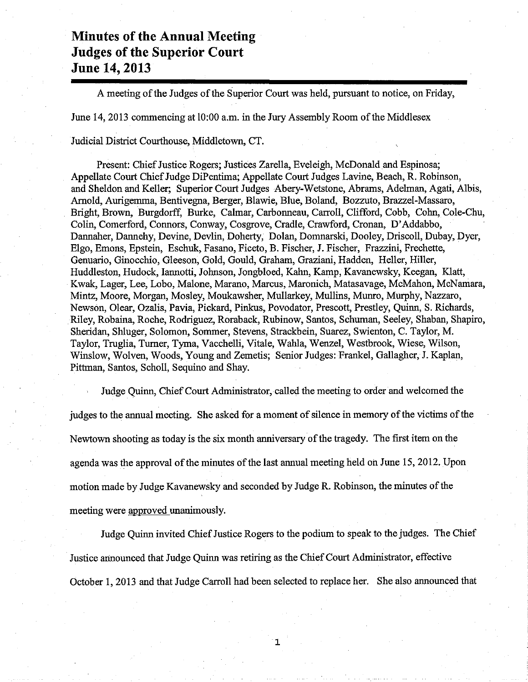## Minutes of the Annual Meeting Judges of the Superior Court June 14,2013

A meeting of the Judges of the Superior Court was held, pursuant to notice, on Friday,

June 14, 2013 commencing at 10:00 a.m. in the Jury Assembly Room of the Middlesex

Judicial District Courthouse, Middletown, CT.

Present: Chief Justice Rogers; Justices Zarella, Eveleigh, McDonald and Espinosa; Appellate Court Chief Judge DiPentima; Appellate Court Judges Lavine, Beach, R. Robinson, and Sheldon and Keller; Superior Court Judges Abery-Wetstone, Abrams, Adelman, Agati, Albis, Arnold, Aurigemma, Bentivegna, Berger, Blawie, Blue, Boland, Bozzuto, Brazzel-Massaro, Bright, Brown, Burgdorff, Burke, Calmar, Carbonneau, Carroll, Clifford, Cobb, Cohn, Cole-Chu, Colin, Comerford, Connors, Conway, Cosgrove, Cradle, Crawford, Cronan, D'Addabbo, Dannaher, Dannehy, Devine, Devlin, Doherty, Dolan, Domnarski, Dooley, Driscoll, Dubay, Dyer, Elgo, Emons, Epstein, Eschuk, Fasano, Ficeto, B. Fischer, J. Fischer, Frazzini, Frechette, Genuario, Ginocchio, Gleeson, Gold, Gould, Graham, Graziani, Hadden, Heller, Hiller, Huddleston, Hudock, Iannotti, Johnson, Jongbloed, Kahn, Kamp, Kavanewsky, Keegan, Klatt, Kwak, Lager, Lee, Lobo, Malone, Marano, Marcus, Maronich, Matasavage, McMahon, McNamara, Mintz, Moore, Morgan, Mosley, Moukawsher, Mullarkey, Mullins, Munro, Murphy, Nazzaro, Newson, Olear, Ozalis, Pavia, Pickard, Pinkus, Povodator, Prescott, Prestley, Quinn, S. Richards, Rile¡ Robaina, Roche, Rodriguez, Roraback, Rubinow, Santos, Schuman, Seeley, Shaban, Shapiro, Sheridan, Shluger, Solomon, Sommer, Stevens, Strackbein, Suarez, Swienton, C. Taylor, M. Taylor, Truglia, Turner, Tyma, Vacchelli, Vitale, Wahla, Wenzel, Westbrook, Wiese, Wilson, Winslow, Wolven, Woods, Young and Zemetis; Senior Judges: Frankel, Gallagher, J. Kaplan, Pithnan, Santos, Scholl, Sequino and Shay.

Judge Quinn, Chief Court Administrator, called the meeting to order and welcomed the judges to the annual meeting. She asked for a moment of silence in memory of the victims of the Newtown shooting as today is the six month anniversary of the tragedy. The first item on the agenda was the approval of the minutes of the last annual meeting held on June 15, 2012. Upon motion made by Judge Kavanewsky and seconded by Judge R. Robinson, the minutes of the meeting were approved unanimously.

Judge Ouinn invited Chief Justice Rogers to the podium to speak to the judges. The Chief Justice announced that Judge Quinn was retiring as the Chief Court Administrator, effective October 1, 2013 and that Judge Carroll had been selected to replace her. She also announced that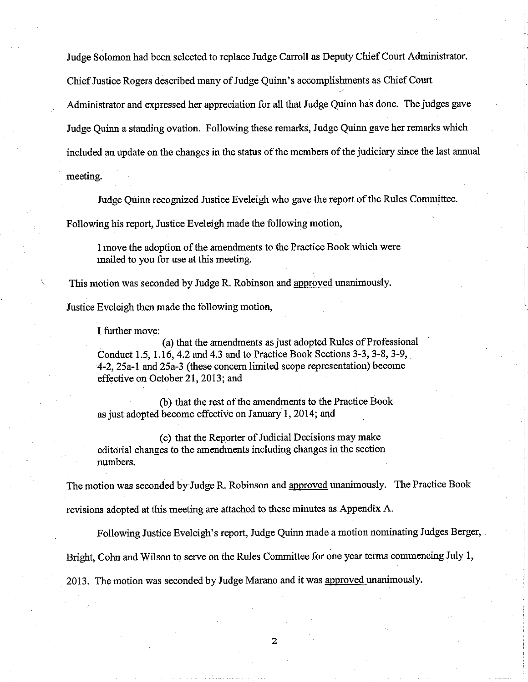Judge Solomon had been selected to replace Judge Carroll as Deputy Chief Court Administrator.

Chief Justice Rogers described many of Judge Quinn's accomplishments as Chief Court

Administrator and expressed her appreciation for all that Judge Quinn has done. The judges gave

Judge Quinn a standing ovation. Following these remarks, Judge Quinn gave her remarks which

included an update on the changes in the status of the members of the judiciary since the last annual

meeting.

Judge Quinn recognized Justice Eveleigh who gave the report of the Rules Committee.

Following his report, Justice Eveleigh made the following motion,

I move the adoption of the amendments to the Practice Book wbich were mailed to you for use at this meeting.

This motion was seconded by Judge R. Robinson and approved unanimously.

Justice Eveleigh then made the following motion,

I firrther move:

(a) that the amendments as just adopted Rules of Professional Conduct 1.5, 1.16, 4.2 and 4.3 and to Practice Book Sections 3-3, 3-8, 3-9, 4-2, 25a-l anó 25a-3 (these concem limited scope representation) become effective on October 21, 2013; and

(b) that the rest of the amendments to the Practice Book as just adopted become effective on January 1, 2014; and

(c) that the Reporter of Judicial Decisions may make editorial changes to the amendments including changes in the section numbers.

The motion was seconded by Judge R. Robinson and approved unanimously. The Practice Book

revisions adopted at this meeting are attached to these minutes as Appendix A.

Following Justice Eveleigh's report, Judge Quinn rnade a motion nominating Judges Berger,

Bright, Cohn and Wilson to serve on the Rules Committee for one year terms commencing July 1,

2013. The motion was seconded by Judge Marano and it was approved unanimously.